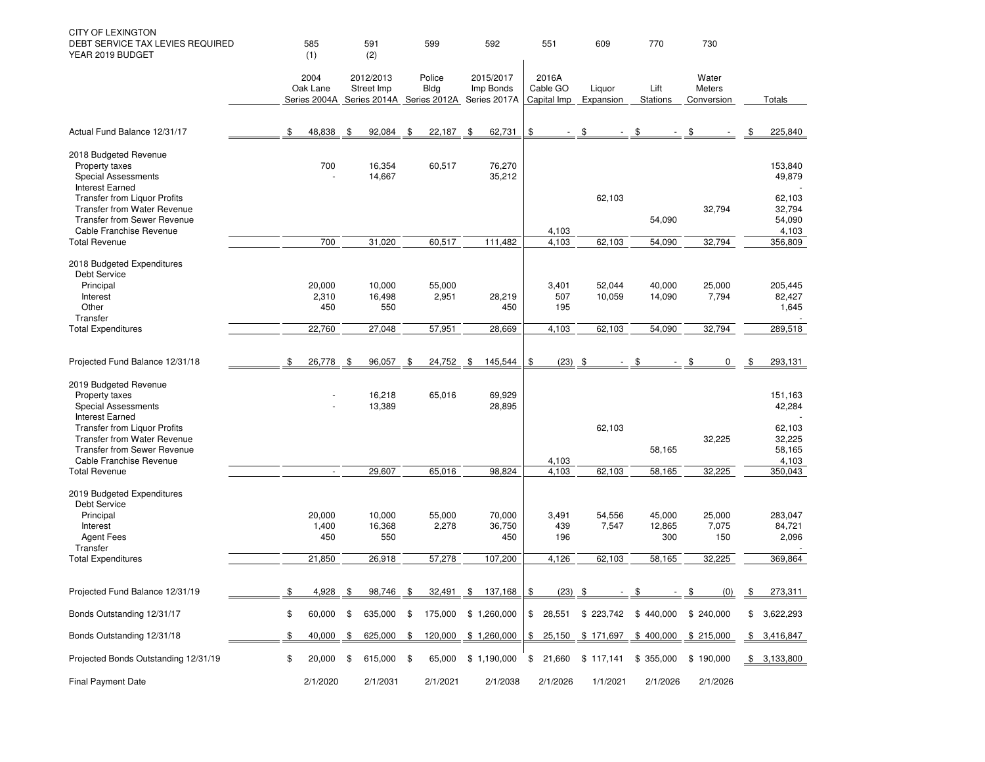| CITY OF LEXINGTON<br><b>DEBT SERVICE TAX LEVIES REQUIRED</b><br>YEAR 2019 BUDGET                                                                                                                                   | 585<br>(1)             |     | 591<br>(2)              |               | 599                   | 592                                                                           | 551                              | 609                 | 770                     | 730                                  |               |                                                 |
|--------------------------------------------------------------------------------------------------------------------------------------------------------------------------------------------------------------------|------------------------|-----|-------------------------|---------------|-----------------------|-------------------------------------------------------------------------------|----------------------------------|---------------------|-------------------------|--------------------------------------|---------------|-------------------------------------------------|
|                                                                                                                                                                                                                    | 2004<br>Oak Lane       |     | 2012/2013<br>Street Imp |               | Police<br><b>Bldg</b> | 2015/2017<br>Imp Bonds<br>Series 2004A Series 2014A Series 2012A Series 2017A | 2016A<br>Cable GO<br>Capital Imp | Liquor<br>Expansion | Lift<br><b>Stations</b> | Water<br><b>Meters</b><br>Conversion |               | Totals                                          |
| Actual Fund Balance 12/31/17                                                                                                                                                                                       | \$<br>48,838           | \$  | 92,084                  | \$            | 22,187                | 62,731<br>\$                                                                  | \$                               | \$                  | \$                      | \$                                   | \$            | 225,840                                         |
| 2018 Budgeted Revenue<br>Property taxes<br><b>Special Assessments</b><br><b>Interest Earned</b><br><b>Transfer from Liquor Profits</b><br><b>Transfer from Water Revenue</b><br><b>Transfer from Sewer Revenue</b> | 700                    |     | 16,354<br>14,667        |               | 60,517                | 76,270<br>35,212                                                              |                                  | 62,103              | 54,090                  | 32,794                               |               | 153,840<br>49,879<br>62,103<br>32,794<br>54,090 |
| Cable Franchise Revenue<br><b>Total Revenue</b>                                                                                                                                                                    | 700                    |     | 31,020                  |               | 60,517                | 111,482                                                                       | 4,103<br>4,103                   | 62,103              | 54,090                  | 32,794                               |               | 4,103<br>356,809                                |
| 2018 Budgeted Expenditures                                                                                                                                                                                         |                        |     |                         |               |                       |                                                                               |                                  |                     |                         |                                      |               |                                                 |
| <b>Debt Service</b><br>Principal<br>Interest<br>Other                                                                                                                                                              | 20,000<br>2,310<br>450 |     | 10,000<br>16,498<br>550 |               | 55,000<br>2,951       | 28,219<br>450                                                                 | 3,401<br>507<br>195              | 52,044<br>10,059    | 40,000<br>14,090        | 25,000<br>7,794                      |               | 205,445<br>82,427<br>1,645                      |
| Transfer<br><b>Total Expenditures</b>                                                                                                                                                                              | 22,760                 |     | 27,048                  |               | 57,951                | 28,669                                                                        | 4,103                            | 62,103              | 54,090                  | 32,794                               |               | 289,518                                         |
|                                                                                                                                                                                                                    |                        |     |                         |               |                       |                                                                               |                                  |                     |                         |                                      |               |                                                 |
| Projected Fund Balance 12/31/18                                                                                                                                                                                    | \$<br>26,778           | -\$ | 96,057                  | \$            | 24,752                | 145,544<br>\$                                                                 | \$<br>$(23)$ \$                  |                     | \$                      | 0<br>\$                              | \$            | 293,131                                         |
| 2019 Budgeted Revenue<br>Property taxes<br><b>Special Assessments</b><br><b>Interest Earned</b><br><b>Transfer from Liquor Profits</b><br><b>Transfer from Water Revenue</b><br><b>Transfer from Sewer Revenue</b> |                        |     | 16,218<br>13,389        |               | 65,016                | 69,929<br>28,895                                                              |                                  | 62,103              | 58,165                  | 32,225                               |               | 151,163<br>42,284<br>62,103<br>32,225<br>58,165 |
| Cable Franchise Revenue<br><b>Total Revenue</b>                                                                                                                                                                    |                        |     | 29,607                  |               | 65,016                | 98,824                                                                        | 4,103<br>4,103                   | 62,103              | 58,165                  | 32,225                               |               | 4,103<br>350,043                                |
| 2019 Budgeted Expenditures<br><b>Debt Service</b><br>Principal<br>Interest<br><b>Agent Fees</b><br>Transfer                                                                                                        | 20,000<br>1,400<br>450 |     | 10,000<br>16,368<br>550 |               | 55,000<br>2,278       | 70,000<br>36,750<br>450                                                       | 3,491<br>439<br>196              | 54,556<br>7,547     | 45,000<br>12,865<br>300 | 25,000<br>7,075<br>150               |               | 283,047<br>84,721<br>2,096                      |
| <b>Total Expenditures</b>                                                                                                                                                                                          | 21,850                 |     | 26,918                  |               | 57,278                | 107,200                                                                       | 4,126                            | 62,103              | 58,165                  | 32,225                               |               | 369,864                                         |
| Projected Fund Balance 12/31/19                                                                                                                                                                                    | \$<br>4,928            | \$  | 98,746                  | $\frac{1}{2}$ | 32,491                | $\frac{1}{2}$<br>$137,168$ \$                                                 | (23)                             | \$                  | \$                      | \$<br>(0)                            | $\frac{1}{2}$ | 273,311                                         |
| Bonds Outstanding 12/31/17                                                                                                                                                                                         | \$<br>60,000           | \$  | 635,000                 | \$            | 175,000               | \$1,260,000                                                                   | \$28,551                         | \$223,742           | \$440,000               | \$240,000                            | \$            | 3,622,293                                       |
| Bonds Outstanding 12/31/18                                                                                                                                                                                         | \$<br>40,000           | \$  | 625,000                 | \$            | 120,000               | \$1,260,000                                                                   | \$25,150                         | \$171,697           | \$400,000               | \$215,000                            | \$            | 3,416,847                                       |
| Projected Bonds Outstanding 12/31/19                                                                                                                                                                               | \$<br>20,000           | \$  | 615,000 \$              |               | 65,000                | \$1,190,000                                                                   | \$21,660                         | \$117,141           | \$355,000               | \$190,000                            |               | \$3,133,800                                     |
| <b>Final Payment Date</b>                                                                                                                                                                                          | 2/1/2020               |     | 2/1/2031                |               | 2/1/2021              | 2/1/2038                                                                      | 2/1/2026                         | 1/1/2021            | 2/1/2026                | 2/1/2026                             |               |                                                 |